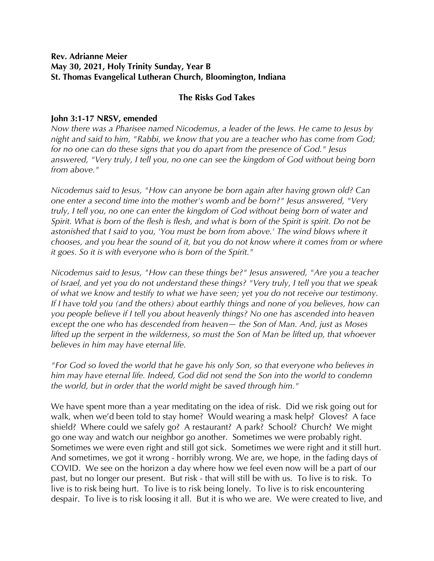## **Rev. Adrianne Meier May 30, 2021, Holy Trinity Sunday, Year B St. Thomas Evangelical Lutheran Church, Bloomington, Indiana**

## **The Risks God Takes**

## **John 3:1-17 NRSV, emended**

*Now there was a Pharisee named Nicodemus, a leader of the Jews. He came to Jesus by night and said to him, "Rabbi, we know that you are a teacher who has come from God; for no one can do these signs that you do apart from the presence of God." Jesus answered, "Very truly, I tell you, no one can see the kingdom of God without being born from above."* 

*Nicodemus said to Jesus, "How can anyone be born again after having grown old? Can one enter a second time into the mother's womb and be born?" Jesus answered, "Very truly, I tell you, no one can enter the kingdom of God without being born of water and Spirit. What is born of the flesh is flesh, and what is born of the Spirit is spirit. Do not be astonished that I said to you, 'You must be born from above.' The wind blows where it chooses, and you hear the sound of it, but you do not know where it comes from or where it goes. So it is with everyone who is born of the Spirit."* 

*Nicodemus said to Jesus, "How can these things be?" Jesus answered, "Are you a teacher of Israel, and yet you do not understand these things? "Very truly, I tell you that we speak of what we know and testify to what we have seen; yet you do not receive our testimony. If I have told you (and the others) about earthly things and none of you believes, how can you people believe if I tell you about heavenly things? No one has ascended into heaven except the one who has descended from heaven— the Son of Man. And, just as Moses lifted up the serpent in the wilderness, so must the Son of Man be lifted up, that whoever believes in him may have eternal life.* 

*"For God so loved the world that he gave his only Son, so that everyone who believes in him may have eternal life. Indeed, God did not send the Son into the world to condemn the world, but in order that the world might be saved through him."* 

We have spent more than a year meditating on the idea of risk. Did we risk going out for walk, when we'd been told to stay home? Would wearing a mask help? Gloves? A face shield? Where could we safely go? A restaurant? A park? School? Church? We might go one way and watch our neighbor go another. Sometimes we were probably right. Sometimes we were even right and still got sick. Sometimes we were right and it still hurt. And sometimes, we got it wrong - horribly wrong. We are, we hope, in the fading days of COVID. We see on the horizon a day where how we feel even now will be a part of our past, but no longer our present. But risk - that will still be with us. To live is to risk. To live is to risk being hurt. To live is to risk being lonely. To live is to risk encountering despair. To live is to risk loosing it all. But it is who we are. We were created to live, and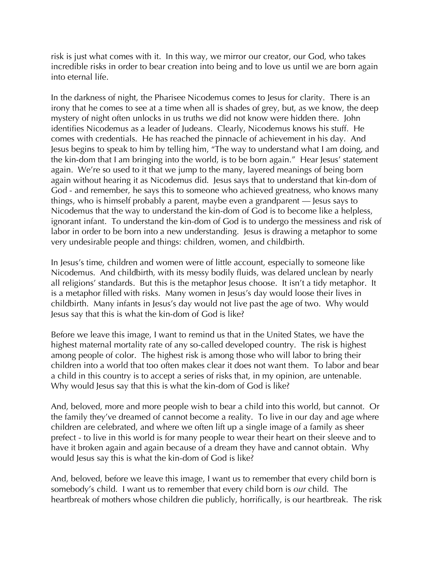risk is just what comes with it. In this way, we mirror our creator, our God, who takes incredible risks in order to bear creation into being and to love us until we are born again into eternal life.

In the darkness of night, the Pharisee Nicodemus comes to Jesus for clarity. There is an irony that he comes to see at a time when all is shades of grey, but, as we know, the deep mystery of night often unlocks in us truths we did not know were hidden there. John identifies Nicodemus as a leader of Judeans. Clearly, Nicodemus knows his stuff. He comes with credentials. He has reached the pinnacle of achievement in his day. And Jesus begins to speak to him by telling him, "The way to understand what I am doing, and the kin-dom that I am bringing into the world, is to be born again." Hear Jesus' statement again. We're so used to it that we jump to the many, layered meanings of being born again without hearing it as Nicodemus did. Jesus says that to understand that kin-dom of God - and remember, he says this to someone who achieved greatness, who knows many things, who is himself probably a parent, maybe even a grandparent — Jesus says to Nicodemus that the way to understand the kin-dom of God is to become like a helpless, ignorant infant. To understand the kin-dom of God is to undergo the messiness and risk of labor in order to be born into a new understanding. Jesus is drawing a metaphor to some very undesirable people and things: children, women, and childbirth.

In Jesus's time, children and women were of little account, especially to someone like Nicodemus. And childbirth, with its messy bodily fluids, was delared unclean by nearly all religions' standards. But this is the metaphor Jesus choose. It isn't a tidy metaphor. It is a metaphor filled with risks. Many women in Jesus's day would loose their lives in childbirth. Many infants in Jesus's day would not live past the age of two. Why would Jesus say that this is what the kin-dom of God is like?

Before we leave this image, I want to remind us that in the United States, we have the highest maternal mortality rate of any so-called developed country. The risk is highest among people of color. The highest risk is among those who will labor to bring their children into a world that too often makes clear it does not want them. To labor and bear a child in this country is to accept a series of risks that, in my opinion, are untenable. Why would Jesus say that this is what the kin-dom of God is like?

And, beloved, more and more people wish to bear a child into this world, but cannot. Or the family they've dreamed of cannot become a reality. To live in our day and age where children are celebrated, and where we often lift up a single image of a family as sheer prefect - to live in this world is for many people to wear their heart on their sleeve and to have it broken again and again because of a dream they have and cannot obtain. Why would Jesus say this is what the kin-dom of God is like?

And, beloved, before we leave this image, I want us to remember that every child born is somebody's child. I want us to remember that every child born is *our* child. The heartbreak of mothers whose children die publicly, horrifically, is our heartbreak. The risk